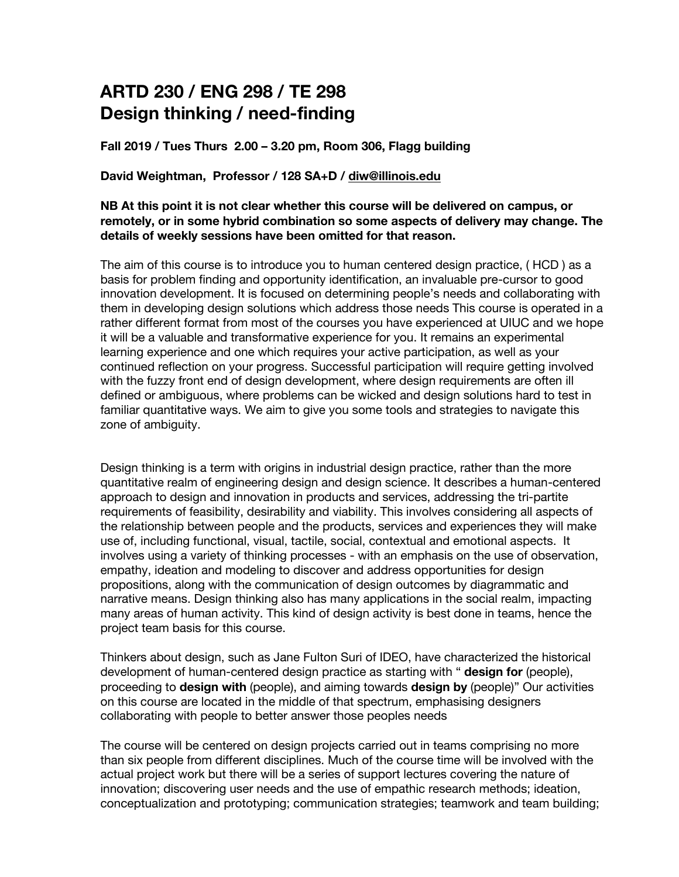# **ARTD 230 / ENG 298 / TE 298 Design thinking / need-finding**

**Fall 2019 / Tues Thurs 2.00 – 3.20 pm, Room 306, Flagg building**

**David Weightman, Professor / 128 SA+D / diw@illinois.edu**

## **NB At this point it is not clear whether this course will be delivered on campus, or remotely, or in some hybrid combination so some aspects of delivery may change. The details of weekly sessions have been omitted for that reason.**

The aim of this course is to introduce you to human centered design practice, ( HCD ) as a basis for problem finding and opportunity identification, an invaluable pre-cursor to good innovation development. It is focused on determining people's needs and collaborating with them in developing design solutions which address those needs This course is operated in a rather different format from most of the courses you have experienced at UIUC and we hope it will be a valuable and transformative experience for you. It remains an experimental learning experience and one which requires your active participation, as well as your continued reflection on your progress. Successful participation will require getting involved with the fuzzy front end of design development, where design requirements are often ill defined or ambiguous, where problems can be wicked and design solutions hard to test in familiar quantitative ways. We aim to give you some tools and strategies to navigate this zone of ambiguity.

Design thinking is a term with origins in industrial design practice, rather than the more quantitative realm of engineering design and design science. It describes a human-centered approach to design and innovation in products and services, addressing the tri-partite requirements of feasibility, desirability and viability. This involves considering all aspects of the relationship between people and the products, services and experiences they will make use of, including functional, visual, tactile, social, contextual and emotional aspects. It involves using a variety of thinking processes - with an emphasis on the use of observation, empathy, ideation and modeling to discover and address opportunities for design propositions, along with the communication of design outcomes by diagrammatic and narrative means. Design thinking also has many applications in the social realm, impacting many areas of human activity. This kind of design activity is best done in teams, hence the project team basis for this course.

Thinkers about design, such as Jane Fulton Suri of IDEO, have characterized the historical development of human-centered design practice as starting with " **design for** (people), proceeding to **design with** (people), and aiming towards **design by** (people)" Our activities on this course are located in the middle of that spectrum, emphasising designers collaborating with people to better answer those peoples needs

The course will be centered on design projects carried out in teams comprising no more than six people from different disciplines. Much of the course time will be involved with the actual project work but there will be a series of support lectures covering the nature of innovation; discovering user needs and the use of empathic research methods; ideation, conceptualization and prototyping; communication strategies; teamwork and team building;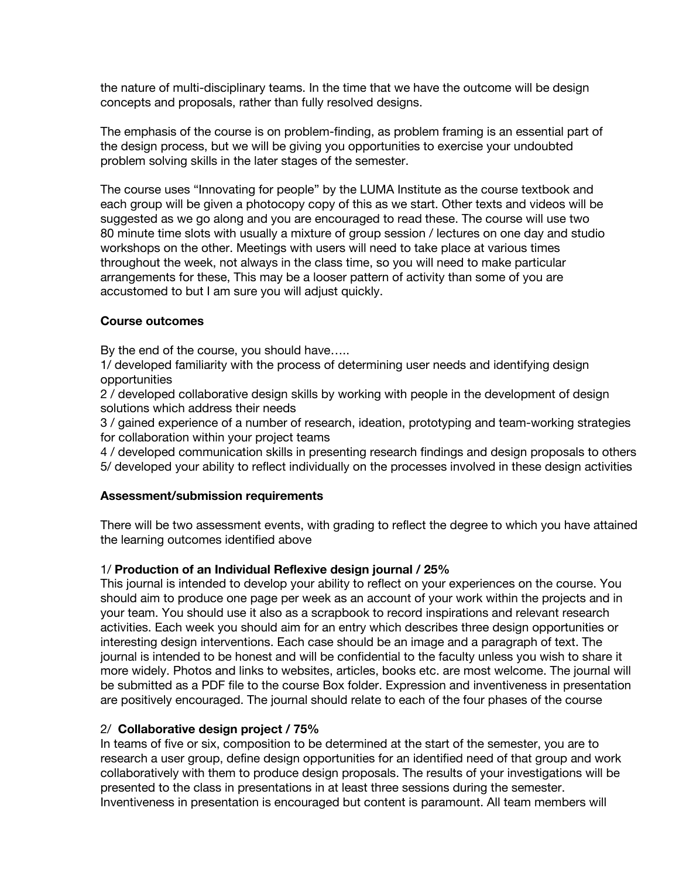the nature of multi-disciplinary teams. In the time that we have the outcome will be design concepts and proposals, rather than fully resolved designs.

The emphasis of the course is on problem-finding, as problem framing is an essential part of the design process, but we will be giving you opportunities to exercise your undoubted problem solving skills in the later stages of the semester.

The course uses "Innovating for people" by the LUMA Institute as the course textbook and each group will be given a photocopy copy of this as we start. Other texts and videos will be suggested as we go along and you are encouraged to read these. The course will use two 80 minute time slots with usually a mixture of group session / lectures on one day and studio workshops on the other. Meetings with users will need to take place at various times throughout the week, not always in the class time, so you will need to make particular arrangements for these, This may be a looser pattern of activity than some of you are accustomed to but I am sure you will adjust quickly.

## **Course outcomes**

By the end of the course, you should have…..

1/ developed familiarity with the process of determining user needs and identifying design opportunities

2 / developed collaborative design skills by working with people in the development of design solutions which address their needs

3 / gained experience of a number of research, ideation, prototyping and team-working strategies for collaboration within your project teams

4 / developed communication skills in presenting research findings and design proposals to others 5/ developed your ability to reflect individually on the processes involved in these design activities

#### **Assessment/submission requirements**

There will be two assessment events, with grading to reflect the degree to which you have attained the learning outcomes identified above

# 1/ **Production of an Individual Reflexive design journal / 25%**

This journal is intended to develop your ability to reflect on your experiences on the course. You should aim to produce one page per week as an account of your work within the projects and in your team. You should use it also as a scrapbook to record inspirations and relevant research activities. Each week you should aim for an entry which describes three design opportunities or interesting design interventions. Each case should be an image and a paragraph of text. The journal is intended to be honest and will be confidential to the faculty unless you wish to share it more widely. Photos and links to websites, articles, books etc. are most welcome. The journal will be submitted as a PDF file to the course Box folder. Expression and inventiveness in presentation are positively encouraged. The journal should relate to each of the four phases of the course

# 2/ **Collaborative design project / 75%**

In teams of five or six, composition to be determined at the start of the semester, you are to research a user group, define design opportunities for an identified need of that group and work collaboratively with them to produce design proposals. The results of your investigations will be presented to the class in presentations in at least three sessions during the semester. Inventiveness in presentation is encouraged but content is paramount. All team members will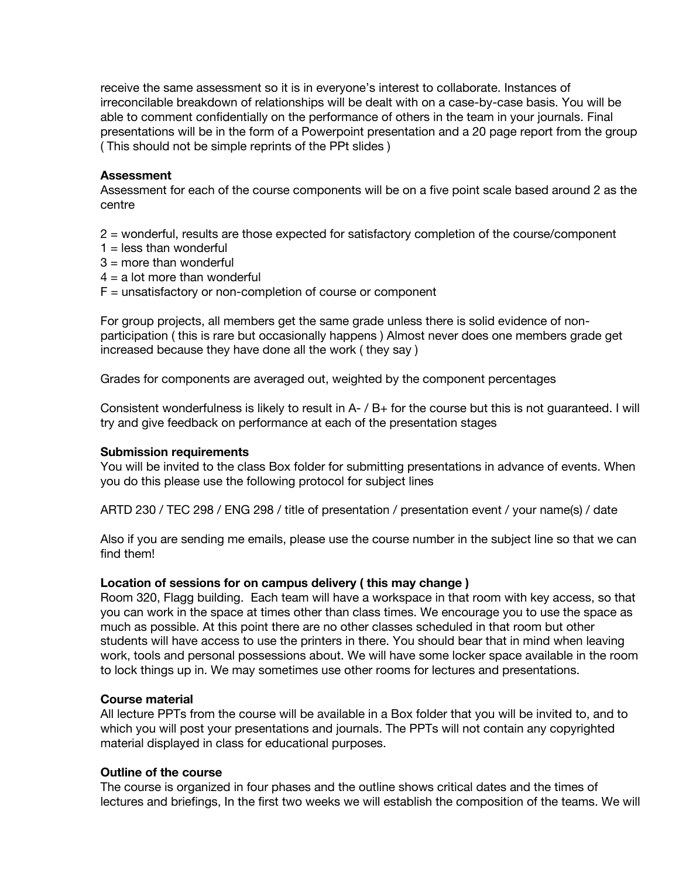receive the same assessment so it is in everyone's interest to collaborate. Instances of irreconcilable breakdown of relationships will be dealt with on a case-by-case basis. You will be able to comment confidentially on the performance of others in the team in your journals. Final presentations will be in the form of a Powerpoint presentation and a 20 page report from the group ( This should not be simple reprints of the PPt slides )

#### **Assessment**

Assessment for each of the course components will be on a five point scale based around 2 as the centre

2 = wonderful, results are those expected for satisfactory completion of the course/component

- $1 =$  less than wonderful
- $3 =$  more than wonderful
- $4 = a$  lot more than wonderful
- $F =$  unsatisfactory or non-completion of course or component

For group projects, all members get the same grade unless there is solid evidence of nonparticipation ( this is rare but occasionally happens ) Almost never does one members grade get increased because they have done all the work ( they say )

Grades for components are averaged out, weighted by the component percentages

Consistent wonderfulness is likely to result in A- / B+ for the course but this is not guaranteed. I will try and give feedback on performance at each of the presentation stages

#### **Submission requirements**

You will be invited to the class Box folder for submitting presentations in advance of events. When you do this please use the following protocol for subject lines

ARTD 230 / TEC 298 / ENG 298 / title of presentation / presentation event / your name(s) / date

Also if you are sending me emails, please use the course number in the subject line so that we can find them!

#### **Location of sessions for on campus delivery ( this may change )**

Room 320, Flagg building. Each team will have a workspace in that room with key access, so that you can work in the space at times other than class times. We encourage you to use the space as much as possible. At this point there are no other classes scheduled in that room but other students will have access to use the printers in there. You should bear that in mind when leaving work, tools and personal possessions about. We will have some locker space available in the room to lock things up in. We may sometimes use other rooms for lectures and presentations.

#### **Course material**

All lecture PPTs from the course will be available in a Box folder that you will be invited to, and to which you will post your presentations and journals. The PPTs will not contain any copyrighted material displayed in class for educational purposes.

#### **Outline of the course**

The course is organized in four phases and the outline shows critical dates and the times of lectures and briefings, In the first two weeks we will establish the composition of the teams. We will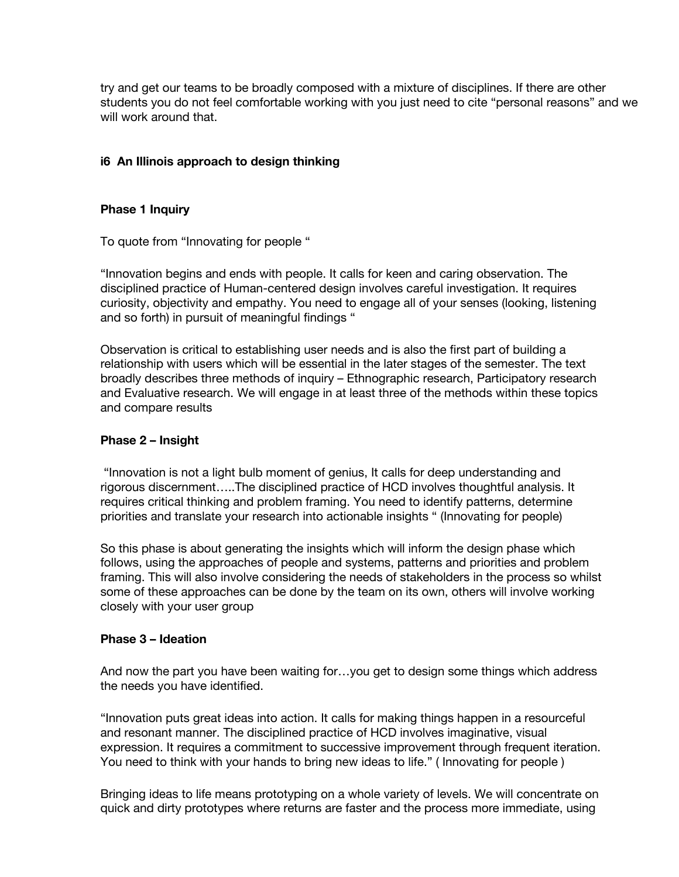try and get our teams to be broadly composed with a mixture of disciplines. If there are other students you do not feel comfortable working with you just need to cite "personal reasons" and we will work around that.

# **i6 An Illinois approach to design thinking**

# **Phase 1 Inquiry**

To quote from "Innovating for people "

"Innovation begins and ends with people. It calls for keen and caring observation. The disciplined practice of Human-centered design involves careful investigation. It requires curiosity, objectivity and empathy. You need to engage all of your senses (looking, listening and so forth) in pursuit of meaningful findings "

Observation is critical to establishing user needs and is also the first part of building a relationship with users which will be essential in the later stages of the semester. The text broadly describes three methods of inquiry – Ethnographic research, Participatory research and Evaluative research. We will engage in at least three of the methods within these topics and compare results

#### **Phase 2 – Insight**

"Innovation is not a light bulb moment of genius, It calls for deep understanding and rigorous discernment…..The disciplined practice of HCD involves thoughtful analysis. It requires critical thinking and problem framing. You need to identify patterns, determine priorities and translate your research into actionable insights " (Innovating for people)

So this phase is about generating the insights which will inform the design phase which follows, using the approaches of people and systems, patterns and priorities and problem framing. This will also involve considering the needs of stakeholders in the process so whilst some of these approaches can be done by the team on its own, others will involve working closely with your user group

# **Phase 3 – Ideation**

And now the part you have been waiting for…you get to design some things which address the needs you have identified.

"Innovation puts great ideas into action. It calls for making things happen in a resourceful and resonant manner. The disciplined practice of HCD involves imaginative, visual expression. It requires a commitment to successive improvement through frequent iteration. You need to think with your hands to bring new ideas to life." ( Innovating for people )

Bringing ideas to life means prototyping on a whole variety of levels. We will concentrate on quick and dirty prototypes where returns are faster and the process more immediate, using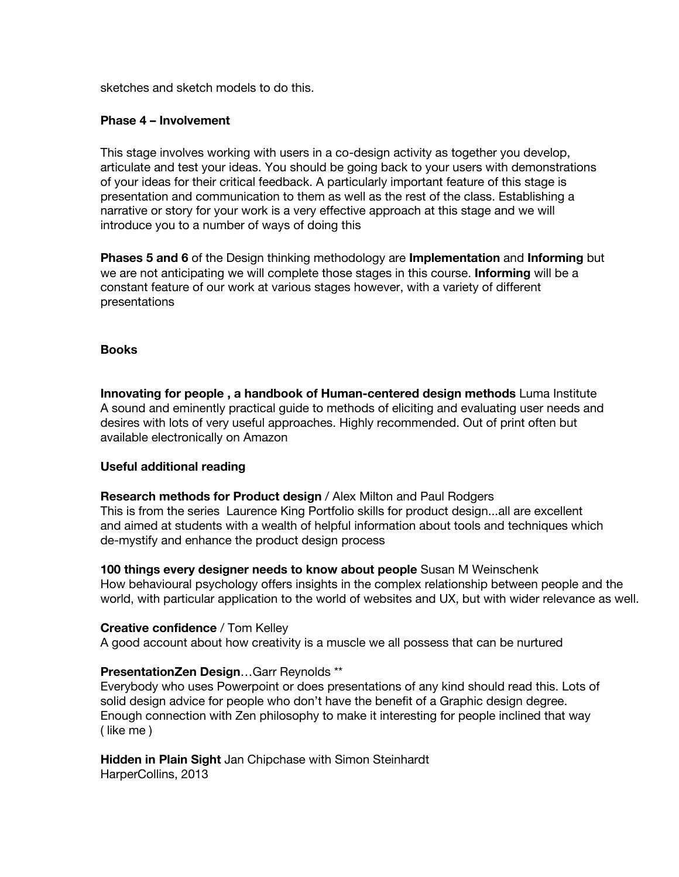sketches and sketch models to do this.

## **Phase 4 – Involvement**

This stage involves working with users in a co-design activity as together you develop, articulate and test your ideas. You should be going back to your users with demonstrations of your ideas for their critical feedback. A particularly important feature of this stage is presentation and communication to them as well as the rest of the class. Establishing a narrative or story for your work is a very effective approach at this stage and we will introduce you to a number of ways of doing this

**Phases 5 and 6** of the Design thinking methodology are **Implementation** and **Informing** but we are not anticipating we will complete those stages in this course. **Informing** will be a constant feature of our work at various stages however, with a variety of different presentations

# **Books**

**Innovating for people , a handbook of Human-centered design methods** Luma Institute A sound and eminently practical guide to methods of eliciting and evaluating user needs and desires with lots of very useful approaches. Highly recommended. Out of print often but available electronically on Amazon

# **Useful additional reading**

**Research methods for Product design** / Alex Milton and Paul Rodgers This is from the series Laurence King Portfolio skills for product design...all are excellent and aimed at students with a wealth of helpful information about tools and techniques which de-mystify and enhance the product design process

**100 things every designer needs to know about people** Susan M Weinschenk How behavioural psychology offers insights in the complex relationship between people and the world, with particular application to the world of websites and UX, but with wider relevance as well.

#### **Creative confidence** / Tom Kelley

A good account about how creativity is a muscle we all possess that can be nurtured

# **PresentationZen Design**…Garr Reynolds \*\*

Everybody who uses Powerpoint or does presentations of any kind should read this. Lots of solid design advice for people who don't have the benefit of a Graphic design degree. Enough connection with Zen philosophy to make it interesting for people inclined that way ( like me )

**Hidden in Plain Sight** Jan Chipchase with Simon Steinhardt HarperCollins, 2013